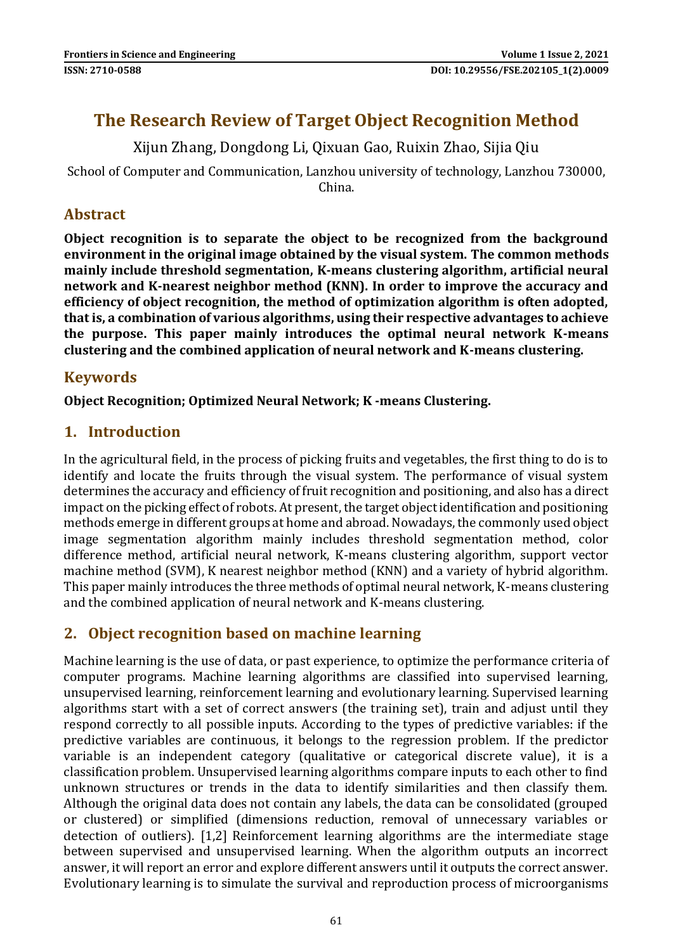# **The Research Review of Target Object Recognition Method**

Xijun Zhang, Dongdong Li, Qixuan Gao, Ruixin Zhao, Sijia Qiu

School of Computer and Communication, Lanzhou university of technology, Lanzhou 730000, China.

## **Abstract**

**Object recognition is to separate the object to be recognized from the background environment in the original image obtained by the visual system. The common methods mainly include threshold segmentation, K-means clustering algorithm, artificial neural network and K-nearest neighbor method (KNN). In order to improve the accuracy and efficiency of object recognition, the method of optimization algorithm is often adopted, that is, a combination of various algorithms, using their respective advantages to achieve the purpose. This paper mainly introduces the optimal neural network K-means clustering and the combined application of neural network and K-means clustering.**

### **Keywords**

#### **Object Recognition; Optimized Neural Network; K -means Clustering.**

#### **1. Introduction**

In the agricultural field, in the process of picking fruits and vegetables, the first thing to do is to identify and locate the fruits through the visual system. The performance of visual system determines the accuracy and efficiency of fruit recognition and positioning, and also has a direct impact on the picking effect of robots. At present, the target object identification and positioning methods emerge in different groups at home and abroad. Nowadays, the commonly used object image segmentation algorithm mainly includes threshold segmentation method, color difference method, artificial neural network, K-means clustering algorithm, support vector machine method (SVM), K nearest neighbor method (KNN) and a variety of hybrid algorithm. This paper mainly introduces the three methods of optimal neural network, K-means clustering and the combined application of neural network and K-means clustering.

### **2. Object recognition based on machine learning**

Machine learning is the use of data, or past experience, to optimize the performance criteria of computer programs. Machine learning algorithms are classified into supervised learning, unsupervised learning, reinforcement learning and evolutionary learning. Supervised learning algorithms start with a set of correct answers (the training set), train and adjust until they respond correctly to all possible inputs. According to the types of predictive variables: if the predictive variables are continuous, it belongs to the regression problem. If the predictor variable is an independent category (qualitative or categorical discrete value), it is a classification problem. Unsupervised learning algorithms compare inputs to each other to find unknown structures or trends in the data to identify similarities and then classify them. Although the original data does not contain any labels, the data can be consolidated (grouped or clustered) or simplified (dimensions reduction, removal of unnecessary variables or detection of outliers). [1,2] Reinforcement learning algorithms are the intermediate stage between supervised and unsupervised learning. When the algorithm outputs an incorrect answer, it will report an error and explore different answers until it outputs the correct answer. Evolutionary learning is to simulate the survival and reproduction process of microorganisms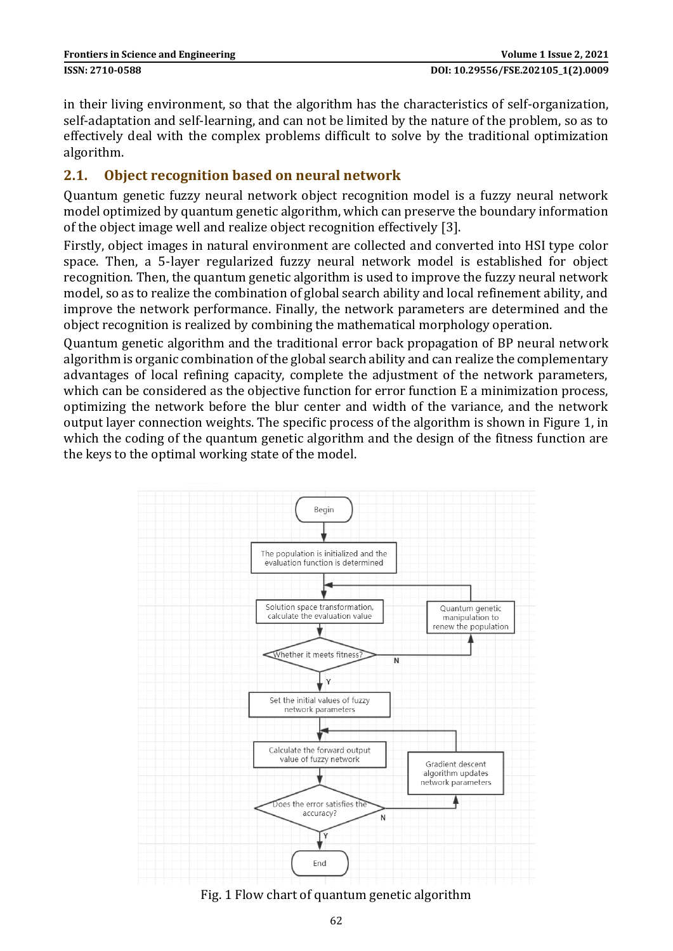in their living environment, so that the algorithm has the characteristics of self-organization, self-adaptation and self-learning, and can not be limited by the nature of the problem, so as to effectively deal with the complex problems difficult to solve by the traditional optimization algorithm.

#### **2.1. Object recognition based on neural network**

Quantum genetic fuzzy neural network object recognition model is a fuzzy neural network model optimized by quantum genetic algorithm, which can preserve the boundary information of the object image well and realize object recognition effectively [3].

Firstly, object images in natural environment are collected and converted into HSI type color space. Then, a 5-layer regularized fuzzy neural network model is established for object recognition. Then, the quantum genetic algorithm is used to improve the fuzzy neural network model, so as to realize the combination of global search ability and local refinement ability, and improve the network performance. Finally, the network parameters are determined and the object recognition is realized by combining the mathematical morphology operation.

Quantum genetic algorithm and the traditional error back propagation of BP neural network algorithm is organic combination of the global search ability and can realize the complementary advantages of local refining capacity, complete the adjustment of the network parameters, which can be considered as the objective function for error function E a minimization process, optimizing the network before the blur center and width of the variance, and the network output layer connection weights. The specific process of the algorithm is shown in Figure 1, in which the coding of the quantum genetic algorithm and the design of the fitness function are the keys to the optimal working state of the model.



Fig. 1 Flow chart of quantum genetic algorithm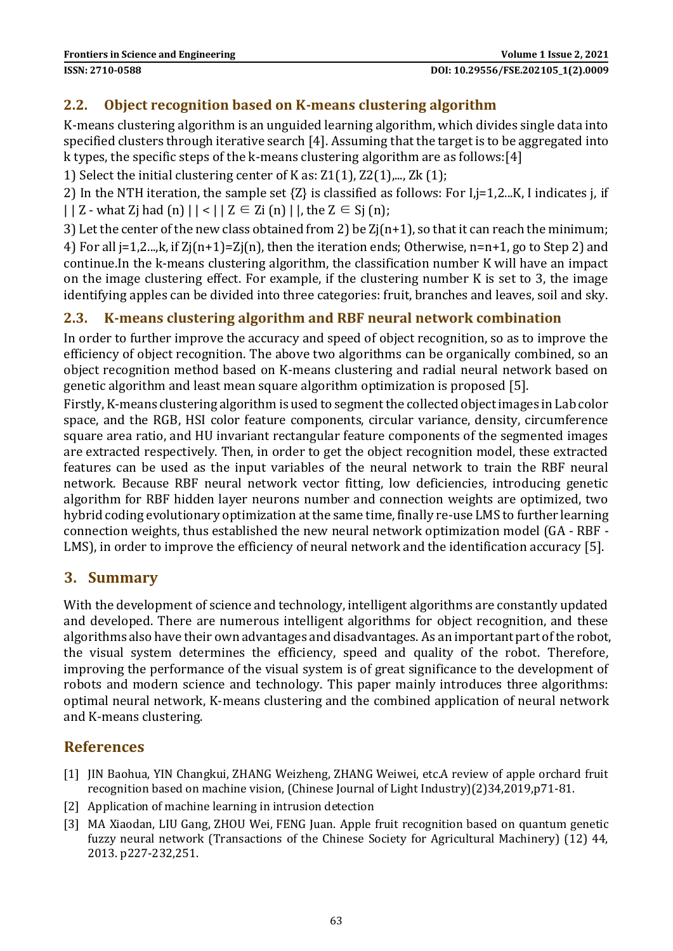#### **2.2. Object recognition based on K-means clustering algorithm**

K-means clustering algorithm is an unguided learning algorithm, which divides single data into specified clusters through iterative search [4]. Assuming that the target is to be aggregated into k types, the specific steps of the k-means clustering algorithm are as follows[:\[4\]](#page-3-0)

1) Select the initial clustering center of K as:  $Z1(1)$ ,  $Z2(1)$ ,..., Zk $(1)$ ;

2) In the NTH iteration, the sample set {Z} is classified as follows: For I,j=1,2...K, I indicates j, if  $| | Z - w$ hat Zj had  $(n) | | < | Z \in Z$ i  $(n) |$ , the  $Z \in S$ j  $(n)$ ;

3) Let the center of the new class obtained from 2) be  $Z(i(n+1))$ , so that it can reach the minimum; 4) For all j=1,2...,k, if Zj(n+1)=Zj(n), then the iteration ends; Otherwise, n=n+1, go to Step 2) and continue.In the k-means clustering algorithm, the classification number K will have an impact on the image clustering effect. For example, if the clustering number K is set to 3, the image identifying apples can be divided into three categories: fruit, branches and leaves, soil and sky.

#### **2.3. K-means clustering algorithm and RBF neural network combination**

In order to further improve the accuracy and speed of object recognition, so as to improve the efficiency of object recognition. The above two algorithms can be organically combined, so an object recognition method based on K-means clustering and radial neural network based on genetic algorithm and least mean square algorithm optimization is proposed [5].

Firstly, K-means clustering algorithm is used to segment the collected object images in Lab color space, and the RGB, HSI color feature components, circular variance, density, circumference square area ratio, and HU invariant rectangular feature components of the segmented images are extracted respectively. Then, in order to get the object recognition model, these extracted features can be used as the input variables of the neural network to train the RBF neural network. Because RBF neural network vector fitting, low deficiencies, introducing genetic algorithm for RBF hidden layer neurons number and connection weights are optimized, two hybrid coding evolutionary optimization at the same time, finally re-use LMS to further learning connection weights, thus established the new neural network optimization model (GA - RBF - LMS), in order to improve the efficiency of neural network and the identification accuracy [5].

### **3. Summary**

With the development of science and technology, intelligent algorithms are constantly updated and developed. There are numerous intelligent algorithms for object recognition, and these algorithms also have their own advantages and disadvantages. As an important part of the robot, the visual system determines the efficiency, speed and quality of the robot. Therefore, improving the performance of the visual system is of great significance to the development of robots and modern science and technology. This paper mainly introduces three algorithms: optimal neural network, K-means clustering and the combined application of neural network and K-means clustering.

## **References**

- [1] JIN Baohua, YIN Changkui, ZHANG Weizheng, ZHANG Weiwei, etc.A review of apple orchard fruit recognition based on machine vision, (Chinese Journal of Light Industry)(2)34,2019,p71-81.
- [2] Application of machine learning in intrusion detection
- [3] MA Xiaodan, LIU Gang, ZHOU Wei, FENG Juan. Apple fruit recognition based on quantum genetic fuzzy neural network (Transactions of the Chinese Society for Agricultural Machinery) (12) 44, 2013. p227-232,251.